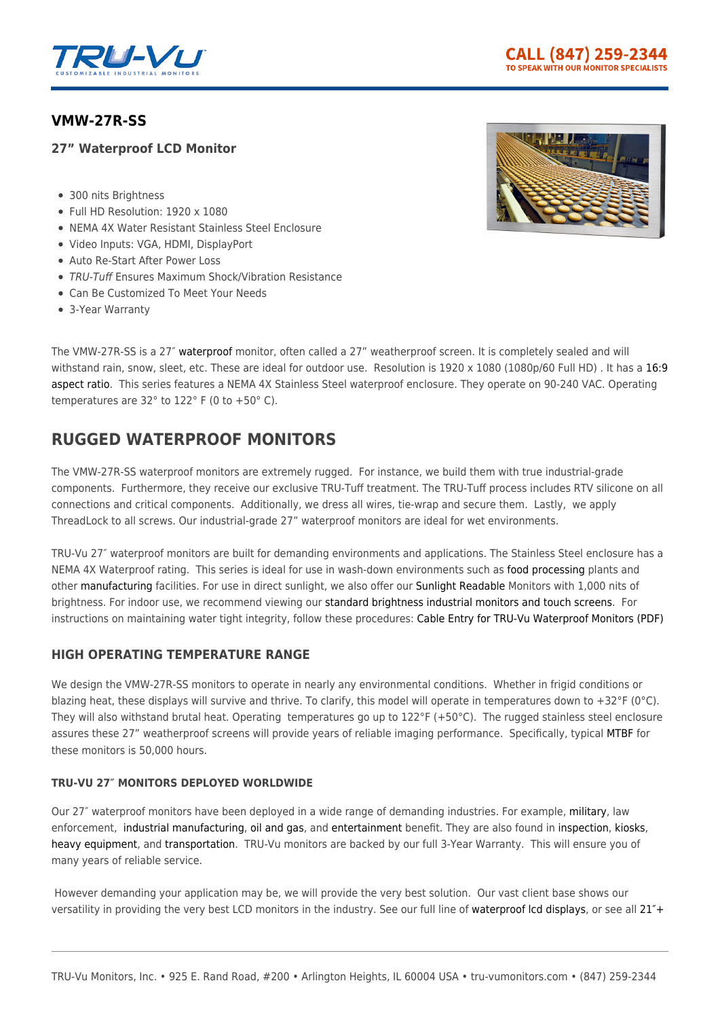

## **[VMW-27R-SS](https://tru-vumonitors.com/products/vmw-27r-ss/)**

## **27" Waterproof LCD Monitor**

- 300 nits Brightness
- Full HD Resolution: 1920 x 1080
- NEMA 4X Water Resistant Stainless Steel Enclosure
- Video Inputs: VGA, HDMI, DisplayPort
- Auto Re-Start After Power Loss
- TRU-Tuff Ensures Maximum Shock/Vibration Resistance
- Can Be Customized To Meet Your Needs
- 3-Year Warranty



The VMW-27R-SS is a 27″ [waterproof](https://tru-vumonitors.com/waterproof-monitors/) monitor, often called a 27" weatherproof screen. It is completely sealed and will withstand rain, snow, sleet, etc. These are ideal for outdoor use. Resolution is 1920 x 1080 (1080p/60 Full HD). It has a [16:9](https://tru-vumonitors.com/16by9-monitors/) [aspect ratio.](https://tru-vumonitors.com/16by9-monitors/) This series features a NEMA 4X Stainless Steel waterproof enclosure. They operate on 90-240 VAC. Operating temperatures are 32° to 122° F (0 to +50° C).

# **RUGGED WATERPROOF MONITORS**

The VMW-27R-SS waterproof monitors are extremely rugged. For instance, we build them with true industrial-grade components. Furthermore, they receive our exclusive TRU-Tuff treatment. The TRU-Tuff process includes RTV silicone on all connections and critical components. Additionally, we dress all wires, tie-wrap and secure them. Lastly, we apply ThreadLock to all screws. Our industrial-grade 27" waterproof monitors are ideal for wet environments.

TRU-Vu 27″ waterproof monitors are built for demanding environments and applications. The Stainless Steel enclosure has a NEMA 4X Waterproof rating. This series is ideal for use in wash-down environments such as [food processing](https://tru-vumonitors.com/industries/food-beverage/) plants and other [manufacturing](https://tru-vumonitors.com/industries/industrial/) facilities. For use in direct sunlight, we also offer our [Sunlight Readable](https://tru-vumonitors.com/sunlight-readable-monitors/) Monitors with 1,000 nits of brightness. For indoor use, we recommend viewing our [standard brightness industrial monitors and touch screens](https://tru-vumonitors.com/standard-brightness-monitors/). For instructions on maintaining water tight integrity, follow these procedures: [Cable Entry for TRU-Vu Waterproof Monitors \(PDF\)](https://16xfon1vsba94cids52k0kzh-wpengine.netdna-ssl.com/wp-content/uploads/2020/01/Cable_Entry_for_Waterproof_Monitors.pdf)

## **HIGH OPERATING TEMPERATURE RANGE**

We design the VMW-27R-SS monitors to operate in nearly any environmental conditions. Whether in frigid conditions or blazing heat, these displays will survive and thrive. To clarify, this model will operate in temperatures down to +32°F (0°C). They will also withstand brutal heat. Operating temperatures go up to 122°F (+50°C). The rugged stainless steel enclosure assures these 27" weatherproof screens will provide years of reliable imaging performance. Specifically, typical [MTBF](https://en.wikipedia.org/wiki/Mean_time_between_failures) for these monitors is 50,000 hours.

### **TRU-VU 27″ MONITORS DEPLOYED WORLDWIDE**

Our 27″ waterproof monitors have been deployed in a wide range of demanding industries. For example, [military,](https://tru-vumonitors.com/industries/military/) law enforcement, [industrial manufacturing](https://tru-vumonitors.com/industries/industrial/), [oil and gas](https://tru-vumonitors.com/industries/oil-gas/), and [entertainment](https://tru-vumonitors.com/industries/sports-stadiums/) benefit. They are also found in [inspection](https://tru-vumonitors.com/industries/automation-machine-vision/), [kiosks,](https://tru-vumonitors.com/industries/kiosks-vending/) [heavy equipment,](https://tru-vumonitors.com/industries/cranes-heavy-equipment/) and [transportation](https://tru-vumonitors.com/industries/mass-transit/). TRU-Vu monitors are backed by our full 3-Year Warranty. This will ensure you of many years of reliable service.

 However demanding your application may be, we will provide the very best solution. Our vast client base shows our versatility in providing the very best LCD monitors in the industry. See our full line of [waterproof lcd displays](https://tru-vumonitors.com/waterproof-monitors/), or see all [21″+](https://tru-vumonitors.com/21in-to-65in-monitors/)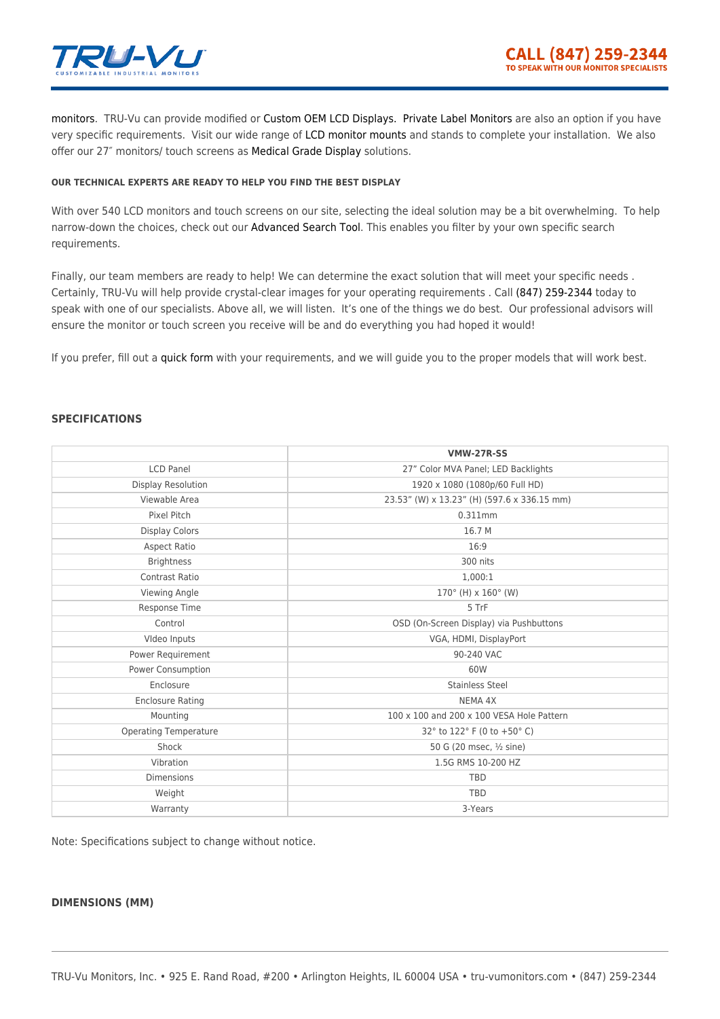

[monitors](https://tru-vumonitors.com/21in-to-65in-monitors/). TRU-Vu can provide modified or [Custom OEM LCD Displays.](https://tru-vumonitors.com/custom-monitors/) [Private Label Monitors](https://tru-vumonitors.com/private-label-monitors/) are also an option if you have very specific requirements. Visit our wide range of [LCD monitor mounts](https://tru-vumonitors.com/accessories/mounting-brackets-bases/) and stands to complete your installation. We also offer our 27″ monitors/ touch screens as [Medical Grade Display](https://tru-vumonitors.com/medical-displays/) solutions.

#### **OUR TECHNICAL EXPERTS ARE READY TO HELP YOU FIND THE BEST DISPLAY**

With over 540 LCD monitors and touch screens on our site, selecting the ideal solution may be a bit overwhelming. To help narrow-down the choices, check out our [Advanced Search Tool](https://tru-vumonitors.com/products/). This enables you filter by your own specific search requirements.

Finally, our team members are ready to help! We can determine the exact solution that will meet your specific needs . Certainly, TRU-Vu will help provide crystal-clear images for your operating requirements . Call [\(847\) 259-2344](#page--1-0) today to speak with one of our specialists. Above all, we will listen. It's one of the things we do best. Our professional advisors will ensure the monitor or touch screen you receive will be and do everything you had hoped it would!

If you prefer, fill out a [quick form](https://tru-vumonitors.com/request-quote/) with your requirements, and we will guide you to the proper models that will work best.

### **SPECIFICATIONS**

|                         | <b>VMW-27R-SS</b>                           |
|-------------------------|---------------------------------------------|
| <b>LCD Panel</b>        | 27" Color MVA Panel; LED Backlights         |
| Display Resolution      | 1920 x 1080 (1080p/60 Full HD)              |
| Viewable Area           | 23.53" (W) x 13.23" (H) (597.6 x 336.15 mm) |
| Pixel Pitch             | 0.311mm                                     |
| <b>Display Colors</b>   | 16.7 M                                      |
| <b>Aspect Ratio</b>     | 16:9                                        |
| <b>Brightness</b>       | 300 nits                                    |
| <b>Contrast Ratio</b>   | 1,000:1                                     |
| Viewing Angle           | $170^{\circ}$ (H) x $160^{\circ}$ (W)       |
| Response Time           | 5 TrF                                       |
| Control                 | OSD (On-Screen Display) via Pushbuttons     |
| Video Inputs            | VGA, HDMI, DisplayPort                      |
| Power Requirement       | 90-240 VAC                                  |
| Power Consumption       | 60W                                         |
| Enclosure               | <b>Stainless Steel</b>                      |
| <b>Enclosure Rating</b> | NEMA 4X                                     |
| Mounting                | 100 x 100 and 200 x 100 VESA Hole Pattern   |
| Operating Temperature   | 32° to 122° F (0 to +50° C)                 |
| Shock                   | 50 G (20 msec, 1/2 sine)                    |
| Vibration               | 1.5G RMS 10-200 HZ                          |
| <b>Dimensions</b>       | <b>TBD</b>                                  |
| Weight                  | TBD                                         |
| Warranty                | 3-Years                                     |

Note: Specifications subject to change without notice.

#### **DIMENSIONS (MM)**